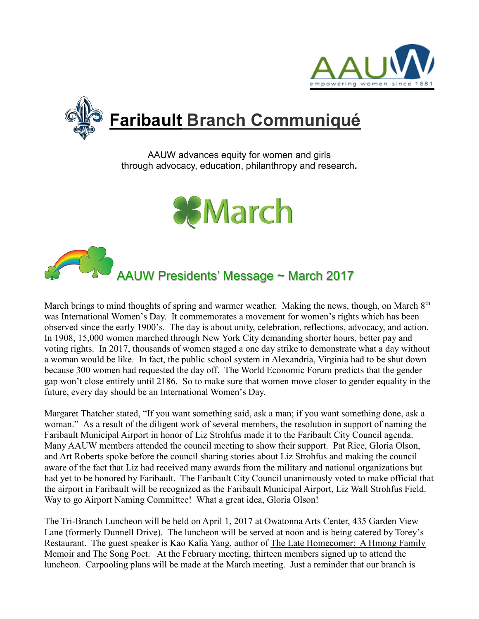



AAUW advances equity for women and girls through advocacy, education, philanthropy and research**.**





March brings to mind thoughts of spring and warmer weather. Making the news, though, on March  $8<sup>th</sup>$ was International Women's Day. It commemorates a movement for women's rights which has been observed since the early 1900's. The day is about unity, celebration, reflections, advocacy, and action. In 1908, 15,000 women marched through New York City demanding shorter hours, better pay and voting rights. In 2017, thousands of women staged a one day strike to demonstrate what a day without a woman would be like. In fact, the public school system in Alexandria, Virginia had to be shut down because 300 women had requested the day off. The World Economic Forum predicts that the gender gap won't close entirely until 2186. So to make sure that women move closer to gender equality in the future, every day should be an International Women's Day.

Margaret Thatcher stated, "If you want something said, ask a man; if you want something done, ask a woman." As a result of the diligent work of several members, the resolution in support of naming the Faribault Municipal Airport in honor of Liz Strohfus made it to the Faribault City Council agenda. Many AAUW members attended the council meeting to show their support. Pat Rice, Gloria Olson, and Art Roberts spoke before the council sharing stories about Liz Strohfus and making the council aware of the fact that Liz had received many awards from the military and national organizations but had yet to be honored by Faribault. The Faribault City Council unanimously voted to make official that the airport in Faribault will be recognized as the Faribault Municipal Airport, Liz Wall Strohfus Field. Way to go Airport Naming Committee! What a great idea, Gloria Olson!

The Tri-Branch Luncheon will be held on April 1, 2017 at Owatonna Arts Center, 435 Garden View Lane (formerly Dunnell Drive). The luncheon will be served at noon and is being catered by Torey's Restaurant. The guest speaker is Kao Kalia Yang, author of The Late Homecomer: A Hmong Family Memoir and The Song Poet. At the February meeting, thirteen members signed up to attend the luncheon. Carpooling plans will be made at the March meeting. Just a reminder that our branch is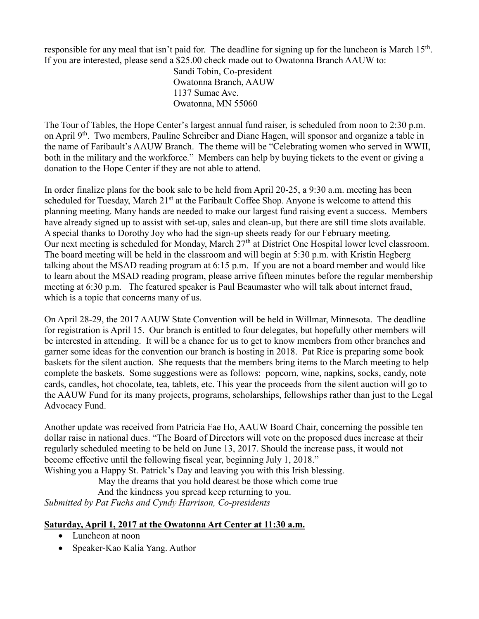responsible for any meal that isn't paid for. The deadline for signing up for the luncheon is March  $15<sup>th</sup>$ . If you are interested, please send a \$25.00 check made out to Owatonna Branch AAUW to:

> Sandi Tobin, Co-president Owatonna Branch, AAUW 1137 Sumac Ave. Owatonna, MN 55060

The Tour of Tables, the Hope Center's largest annual fund raiser, is scheduled from noon to 2:30 p.m. on April 9<sup>th</sup>. Two members, Pauline Schreiber and Diane Hagen, will sponsor and organize a table in the name of Faribault's AAUW Branch. The theme will be "Celebrating women who served in WWII, both in the military and the workforce." Members can help by buying tickets to the event or giving a donation to the Hope Center if they are not able to attend.

In order finalize plans for the book sale to be held from April 20-25, a 9:30 a.m. meeting has been scheduled for Tuesday, March 21<sup>st</sup> at the Faribault Coffee Shop. Anyone is welcome to attend this planning meeting. Many hands are needed to make our largest fund raising event a success. Members have already signed up to assist with set-up, sales and clean-up, but there are still time slots available. A special thanks to Dorothy Joy who had the sign-up sheets ready for our February meeting. Our next meeting is scheduled for Monday, March 27<sup>th</sup> at District One Hospital lower level classroom. The board meeting will be held in the classroom and will begin at 5:30 p.m. with Kristin Hegberg talking about the MSAD reading program at 6:15 p.m. If you are not a board member and would like to learn about the MSAD reading program, please arrive fifteen minutes before the regular membership meeting at 6:30 p.m. The featured speaker is Paul Beaumaster who will talk about internet fraud, which is a topic that concerns many of us.

On April 28-29, the 2017 AAUW State Convention will be held in Willmar, Minnesota. The deadline for registration is April 15. Our branch is entitled to four delegates, but hopefully other members will be interested in attending. It will be a chance for us to get to know members from other branches and garner some ideas for the convention our branch is hosting in 2018. Pat Rice is preparing some book baskets for the silent auction. She requests that the members bring items to the March meeting to help complete the baskets. Some suggestions were as follows: popcorn, wine, napkins, socks, candy, note cards, candles, hot chocolate, tea, tablets, etc. This year the proceeds from the silent auction will go to the AAUW Fund for its many projects, programs, scholarships, fellowships rather than just to the Legal Advocacy Fund.

Another update was received from Patricia Fae Ho, AAUW Board Chair, concerning the possible ten dollar raise in national dues. "The Board of Directors will vote on the proposed dues increase at their regularly scheduled meeting to be held on June 13, 2017. Should the increase pass, it would not become effective until the following fiscal year, beginning July 1, 2018." Wishing you a Happy St. Patrick's Day and leaving you with this Irish blessing.

May the dreams that you hold dearest be those which come true

And the kindness you spread keep returning to you.

*Submitted by Pat Fuchs and Cyndy Harrison, Co-presidents*

#### **Saturday, April 1, 2017 at the Owatonna Art Center at 11:30 a.m.**

- Luncheon at noon
- Speaker-Kao Kalia Yang. Author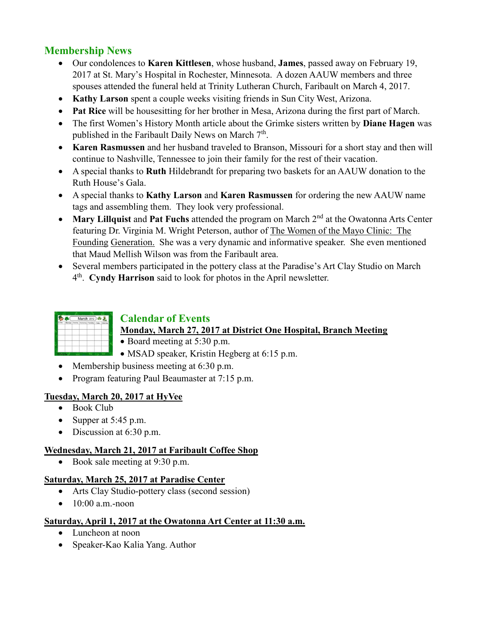# **Membership News**

- Our condolences to **Karen Kittlesen**, whose husband, **James**, passed away on February 19, 2017 at St. Mary's Hospital in Rochester, Minnesota. A dozen AAUW members and three spouses attended the funeral held at Trinity Lutheran Church, Faribault on March 4, 2017.
- **Kathy Larson** spent a couple weeks visiting friends in Sun City West, Arizona.
- **Pat Rice** will be housesitting for her brother in Mesa, Arizona during the first part of March.
- The first Women's History Month article about the Grimke sisters written by **Diane Hagen** was published in the Faribault Daily News on March  $7<sup>th</sup>$ .
- **Karen Rasmussen** and her husband traveled to Branson, Missouri for a short stay and then will continue to Nashville, Tennessee to join their family for the rest of their vacation.
- A special thanks to **Ruth** Hildebrandt for preparing two baskets for an AAUW donation to the Ruth House's Gala.
- A special thanks to **Kathy Larson** and **Karen Rasmussen** for ordering the new AAUW name tags and assembling them. They look very professional.
- **Mary Lillquist and Pat Fuchs** attended the program on March 2<sup>nd</sup> at the Owatonna Arts Center featuring Dr. Virginia M. Wright Peterson, author of The Women of the Mayo Clinic: The Founding Generation. She was a very dynamic and informative speaker. She even mentioned that Maud Mellish Wilson was from the Faribault area.
- Several members participated in the pottery class at the Paradise's Art Clay Studio on March 4 th . **Cyndy Harrison** said to look for photos in the April newsletter.



# **Calendar of Events**

- **Monday, March 27, 2017 at District One Hospital, Branch Meeting**
- Board meeting at 5:30 p.m.
- MSAD speaker, Kristin Hegberg at 6:15 p.m.
- Membership business meeting at 6:30 p.m.
- Program featuring Paul Beaumaster at 7:15 p.m.

### **Tuesday, March 20, 2017 at HyVee**

- Book Club
- Supper at  $5:45$  p.m.
- Discussion at 6:30 p.m.

### **Wednesday, March 21, 2017 at Faribault Coffee Shop**

Book sale meeting at 9:30 p.m.

### **Saturday, March 25, 2017 at Paradise Center**

- Arts Clay Studio-pottery class (second session)
- $\bullet$  10:00 a.m.-noon

### **Saturday, April 1, 2017 at the Owatonna Art Center at 11:30 a.m.**

- Luncheon at noon
- Speaker-Kao Kalia Yang. Author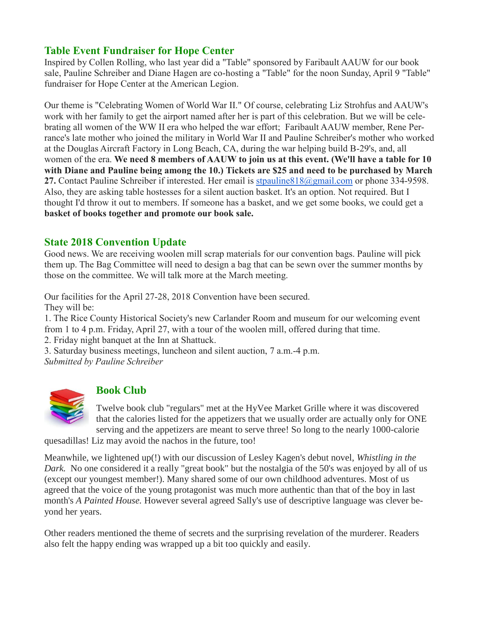### **Table Event Fundraiser for Hope Center**

Inspired by Collen Rolling, who last year did a "Table" sponsored by Faribault AAUW for our book sale, Pauline Schreiber and Diane Hagen are co-hosting a "Table" for the noon Sunday, April 9 "Table" fundraiser for Hope Center at the American Legion.

Our theme is "Celebrating Women of World War II." Of course, celebrating Liz Strohfus and AAUW's work with her family to get the airport named after her is part of this celebration. But we will be celebrating all women of the WW II era who helped the war effort; Faribault AAUW member, Rene Perrance's late mother who joined the military in World War II and Pauline Schreiber's mother who worked at the Douglas Aircraft Factory in Long Beach, CA, during the war helping build B-29's, and, all women of the era. **We need 8 members of AAUW to join us at this event. (We'll have a table for 10 with Diane and Pauline being among the 10.) Tickets are \$25 and need to be purchased by March 27.** Contact Pauline Schreiber if interested. Her email is [stpauline818@gmail.com](mailto:stpauline818@gmail.com) or phone 334-9598. Also, they are asking table hostesses for a silent auction basket. It's an option. Not required. But I thought I'd throw it out to members. If someone has a basket, and we get some books, we could get a **basket of books together and promote our book sale.**

### **State 2018 Convention Update**

Good news. We are receiving woolen mill scrap materials for our convention bags. Pauline will pick them up. The Bag Committee will need to design a bag that can be sewn over the summer months by those on the committee. We will talk more at the March meeting.

Our facilities for the April 27-28, 2018 Convention have been secured. They will be:

1. The Rice County Historical Society's new Carlander Room and museum for our welcoming event from 1 to 4 p.m. Friday, April 27, with a tour of the woolen mill, offered during that time.

2. Friday night banquet at the Inn at Shattuck.

3. Saturday business meetings, luncheon and silent auction, 7 a.m.-4 p.m.

*Submitted by Pauline Schreiber*



# **Book Club**

Twelve book club "regulars" met at the HyVee Market Grille where it was discovered that the calories listed for the appetizers that we usually order are actually only for ONE serving and the appetizers are meant to serve three! So long to the nearly 1000-calorie

quesadillas! Liz may avoid the nachos in the future, too!

Meanwhile, we lightened up(!) with our discussion of Lesley Kagen's debut novel, *Whistling in the Dark.* No one considered it a really "great book" but the nostalgia of the 50's was enjoyed by all of us (except our youngest member!). Many shared some of our own childhood adventures. Most of us agreed that the voice of the young protagonist was much more authentic than that of the boy in last month's *A Painted House.* However several agreed Sally's use of descriptive language was clever beyond her years.

Other readers mentioned the theme of secrets and the surprising revelation of the murderer. Readers also felt the happy ending was wrapped up a bit too quickly and easily.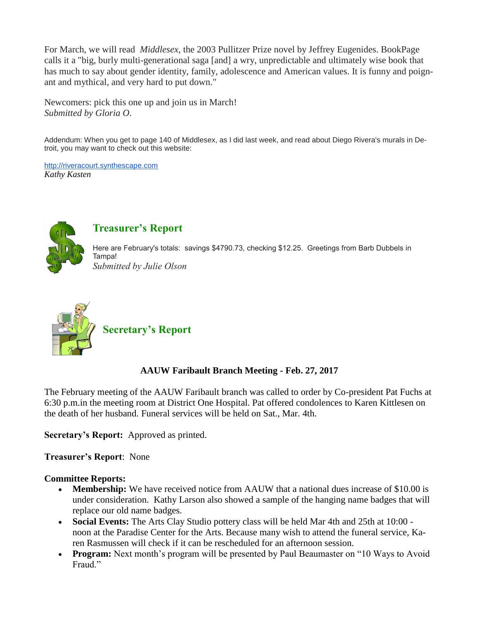For March, we will read *Middlesex,* the 2003 Pullitzer Prize novel by Jeffrey Eugenides. BookPage calls it a "big, burly multi-generational saga [and] a wry, unpredictable and ultimately wise book that has much to say about gender identity, family, adolescence and American values. It is funny and poignant and mythical, and very hard to put down."

Newcomers: pick this one up and join us in March! *Submitted by Gloria O.*

Addendum: When you get to page 140 of Middlesex, as I did last week, and read about Diego Rivera's murals in Detroit, you may want to check out this website:

[http://riveracourt.synthescape.com](http://riveracourt.synthescape.com/) *Kathy Kasten*



### **Treasurer's Report**

Here are February's totals: savings \$4790.73, checking \$12.25. Greetings from Barb Dubbels in Tampa! *Submitted by Julie Olson*



# **Secretary's Report**

#### **AAUW Faribault Branch Meeting - Feb. 27, 2017**

The February meeting of the AAUW Faribault branch was called to order by Co-president Pat Fuchs at 6:30 p.m.in the meeting room at District One Hospital. Pat offered condolences to Karen Kittlesen on the death of her husband. Funeral services will be held on Sat., Mar. 4th.

**Secretary's Report:** Approved as printed.

**Treasurer's Report**: None

#### **Committee Reports:**

- **Membership:** We have received notice from AAUW that a national dues increase of \$10.00 is under consideration. Kathy Larson also showed a sample of the hanging name badges that will replace our old name badges.
- **Social Events:** The Arts Clay Studio pottery class will be held Mar 4th and 25th at 10:00 noon at the Paradise Center for the Arts. Because many wish to attend the funeral service, Karen Rasmussen will check if it can be rescheduled for an afternoon session.
- **Program:** Next month's program will be presented by Paul Beaumaster on "10 Ways to Avoid Fraud."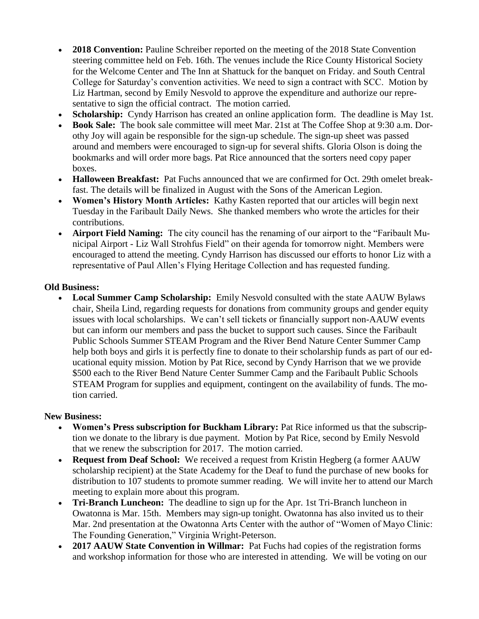- **2018 Convention:** Pauline Schreiber reported on the meeting of the 2018 State Convention steering committee held on Feb. 16th. The venues include the Rice County Historical Society for the Welcome Center and The Inn at Shattuck for the banquet on Friday. and South Central College for Saturday's convention activities. We need to sign a contract with SCC. Motion by Liz Hartman, second by Emily Nesvold to approve the expenditure and authorize our representative to sign the official contract. The motion carried.
- **Scholarship:** Cyndy Harrison has created an online application form. The deadline is May 1st.
- **Book Sale:** The book sale committee will meet Mar. 21st at The Coffee Shop at 9:30 a.m. Dorothy Joy will again be responsible for the sign-up schedule. The sign-up sheet was passed around and members were encouraged to sign-up for several shifts. Gloria Olson is doing the bookmarks and will order more bags. Pat Rice announced that the sorters need copy paper boxes.
- **Halloween Breakfast:** Pat Fuchs announced that we are confirmed for Oct. 29th omelet breakfast. The details will be finalized in August with the Sons of the American Legion.
- **Women's History Month Articles:** Kathy Kasten reported that our articles will begin next Tuesday in the Faribault Daily News. She thanked members who wrote the articles for their contributions.
- **Airport Field Naming:** The city council has the renaming of our airport to the "Faribault Municipal Airport - Liz Wall Strohfus Field" on their agenda for tomorrow night. Members were encouraged to attend the meeting. Cyndy Harrison has discussed our efforts to honor Liz with a representative of Paul Allen's Flying Heritage Collection and has requested funding.

#### **Old Business:**

 **Local Summer Camp Scholarship:** Emily Nesvold consulted with the state AAUW Bylaws chair, Sheila Lind, regarding requests for donations from community groups and gender equity issues with local scholarships. We can't sell tickets or financially support non-AAUW events but can inform our members and pass the bucket to support such causes. Since the Faribault Public Schools Summer STEAM Program and the River Bend Nature Center Summer Camp help both boys and girls it is perfectly fine to donate to their scholarship funds as part of our educational equity mission. Motion by Pat Rice, second by Cyndy Harrison that we we provide \$500 each to the River Bend Nature Center Summer Camp and the Faribault Public Schools STEAM Program for supplies and equipment, contingent on the availability of funds. The motion carried.

#### **New Business:**

- **Women's Press subscription for Buckham Library:** Pat Rice informed us that the subscription we donate to the library is due payment. Motion by Pat Rice, second by Emily Nesvold that we renew the subscription for 2017. The motion carried.
- **Request from Deaf School:** We received a request from Kristin Hegberg (a former AAUW scholarship recipient) at the State Academy for the Deaf to fund the purchase of new books for distribution to 107 students to promote summer reading. We will invite her to attend our March meeting to explain more about this program.
- **Tri-Branch Luncheon:** The deadline to sign up for the Apr. 1st Tri-Branch luncheon in Owatonna is Mar. 15th. Members may sign-up tonight. Owatonna has also invited us to their Mar. 2nd presentation at the Owatonna Arts Center with the author of "Women of Mayo Clinic: The Founding Generation," Virginia Wright-Peterson.
- **2017 AAUW State Convention in Willmar:** Pat Fuchs had copies of the registration forms and workshop information for those who are interested in attending. We will be voting on our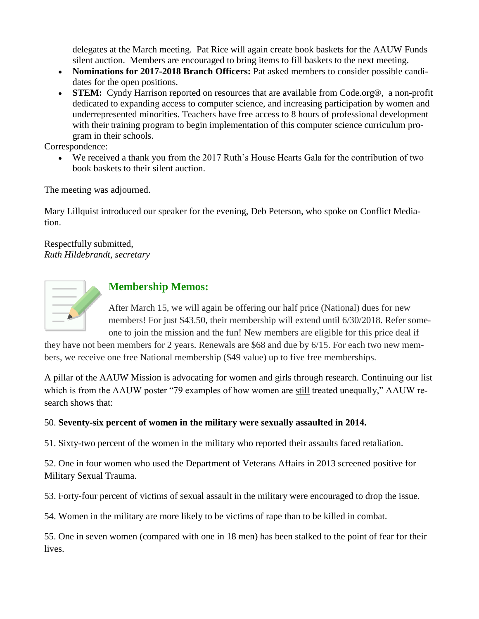delegates at the March meeting. Pat Rice will again create book baskets for the AAUW Funds silent auction. Members are encouraged to bring items to fill baskets to the next meeting.

- **Nominations for 2017-2018 Branch Officers:** Pat asked members to consider possible candidates for the open positions.
- **STEM:** Cyndy Harrison reported on resources that are available from Code.org®, a non-profit dedicated to expanding access to computer science, and increasing participation by women and underrepresented minorities. Teachers have free access to 8 hours of professional development with their training program to begin implementation of this computer science curriculum program in their schools.

Correspondence:

 We received a thank you from the 2017 Ruth's House Hearts Gala for the contribution of two book baskets to their silent auction.

The meeting was adjourned.

Mary Lillquist introduced our speaker for the evening, Deb Peterson, who spoke on Conflict Mediation.

Respectfully submitted, *Ruth Hildebrandt, secretary*



### **Membership Memos:**

After March 15, we will again be offering our half price (National) dues for new members! For just \$43.50, their membership will extend until 6/30/2018. Refer someone to join the mission and the fun! New members are eligible for this price deal if

they have not been members for 2 years. Renewals are \$68 and due by 6/15. For each two new members, we receive one free National membership (\$49 value) up to five free memberships.

A pillar of the AAUW Mission is advocating for women and girls through research. Continuing our list which is from the AAUW poster "79 examples of how women are still treated unequally," AAUW research shows that:

#### 50. **Seventy-six percent of women in the military were sexually assaulted in 2014.**

51. Sixty-two percent of the women in the military who reported their assaults faced retaliation.

52. One in four women who used the Department of Veterans Affairs in 2013 screened positive for Military Sexual Trauma.

53. Forty-four percent of victims of sexual assault in the military were encouraged to drop the issue.

54. Women in the military are more likely to be victims of rape than to be killed in combat.

55. One in seven women (compared with one in 18 men) has been stalked to the point of fear for their lives.